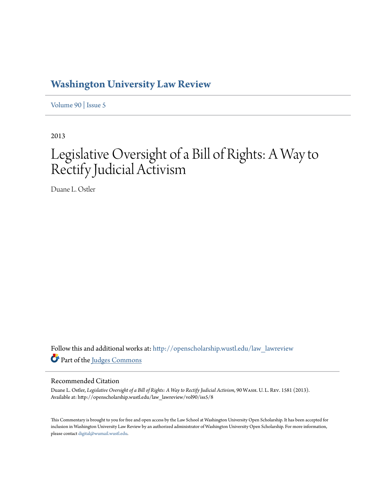## **[Washington University Law Review](http://openscholarship.wustl.edu/law_lawreview?utm_source=openscholarship.wustl.edu%2Flaw_lawreview%2Fvol90%2Fiss5%2F8&utm_medium=PDF&utm_campaign=PDFCoverPages)**

[Volume 90](http://openscholarship.wustl.edu/law_lawreview/vol90?utm_source=openscholarship.wustl.edu%2Flaw_lawreview%2Fvol90%2Fiss5%2F8&utm_medium=PDF&utm_campaign=PDFCoverPages) | [Issue 5](http://openscholarship.wustl.edu/law_lawreview/vol90/iss5?utm_source=openscholarship.wustl.edu%2Flaw_lawreview%2Fvol90%2Fiss5%2F8&utm_medium=PDF&utm_campaign=PDFCoverPages)

2013

# Legislative Oversight of a Bill of Rights: A Way to Rectify Judicial Activism

Duane L. Ostler

Follow this and additional works at: [http://openscholarship.wustl.edu/law\\_lawreview](http://openscholarship.wustl.edu/law_lawreview?utm_source=openscholarship.wustl.edu%2Flaw_lawreview%2Fvol90%2Fiss5%2F8&utm_medium=PDF&utm_campaign=PDFCoverPages) Part of the [Judges Commons](http://network.bepress.com/hgg/discipline/849?utm_source=openscholarship.wustl.edu%2Flaw_lawreview%2Fvol90%2Fiss5%2F8&utm_medium=PDF&utm_campaign=PDFCoverPages)

#### Recommended Citation

Duane L. Ostler, *Legislative Oversight of a Bill of Rights: A Way to Rectify Judicial Activism*, 90 WASH. U. L. REV. 1581 (2013). Available at: http://openscholarship.wustl.edu/law\_lawreview/vol90/iss5/8

This Commentary is brought to you for free and open access by the Law School at Washington University Open Scholarship. It has been accepted for inclusion in Washington University Law Review by an authorized administrator of Washington University Open Scholarship. For more information, please contact [digital@wumail.wustl.edu.](mailto:digital@wumail.wustl.edu)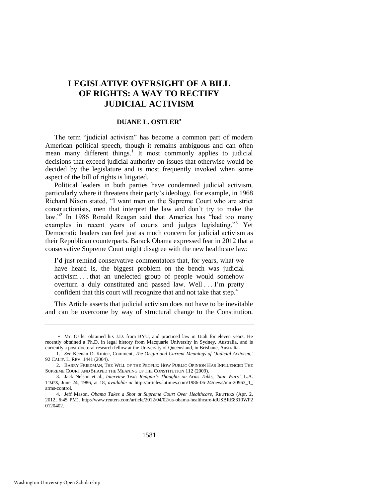### **LEGISLATIVE OVERSIGHT OF A BILL OF RIGHTS: A WAY TO RECTIFY JUDICIAL ACTIVISM**

#### **DUANE L. OSTLER**

The term "judicial activism" has become a common part of modern American political speech, though it remains ambiguous and can often mean many different things.<sup>1</sup> It most commonly applies to judicial decisions that exceed judicial authority on issues that otherwise would be decided by the legislature and is most frequently invoked when some aspect of the bill of rights is litigated.

Political leaders in both parties have condemned judicial activism, particularly where it threatens their party's ideology. For example, in 1968 Richard Nixon stated, "I want men on the Supreme Court who are strict constructionists, men that interpret the law and don't try to make the law."<sup>2</sup> In 1986 Ronald Reagan said that America has "had too many examples in recent years of courts and judges legislating."<sup>3</sup> Yet Democratic leaders can feel just as much concern for judicial activism as their Republican counterparts. Barack Obama expressed fear in 2012 that a conservative Supreme Court might disagree with the new healthcare law:

I'd just remind conservative commentators that, for years, what we have heard is, the biggest problem on the bench was judicial activism . . . that an unelected group of people would somehow overturn a duly constituted and passed law. Well . . . I'm pretty confident that this court will recognize that and not take that step.<sup>4</sup>

This Article asserts that judicial activism does not have to be inevitable and can be overcome by way of structural change to the Constitution.

Mr. Ostler obtained his J.D. from BYU, and practiced law in Utah for eleven years. He recently obtained a Ph.D. in legal history from Macquarie University in Sydney, Australia, and is currently a post-doctoral research fellow at the University of Queensland, in Brisbane, Australia.

<sup>1.</sup> *See* Keenan D. Kmiec, Comment, *The Origin and Current Meanings of 'Judicial Activism*,*'* 92 CALIF. L. REV. 1441 (2004).

<sup>2.</sup> BARRY FRIEDMAN, THE WILL OF THE PEOPLE: HOW PUBLIC OPINION HAS INFLUENCED THE SUPREME COURT AND SHAPED THE MEANING OF THE CONSTITUTION 112 (2009).

<sup>3.</sup> Jack Nelson et al., *Interview Text: Reagan's Thoughts on Arms Talks, 'Star Wars'*, L.A. TIMES, June 24, 1986, at 18, *available at* http://articles.latimes.com/1986-06-24/news/mn-20963\_1\_ arms-control.

<sup>4.</sup> Jeff Mason, *Obama Takes a Shot at Supreme Court Over Healthcare*, REUTERS (Apr. 2, 2012, 6:45 PM), http://www.reuters.com/article/2012/04/02/us-obama-healthcare-idUSBRE8310WP2 0120402.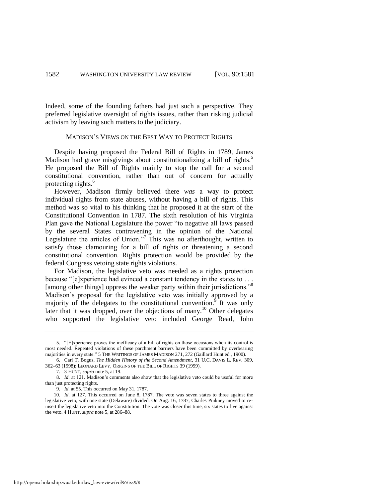Indeed, some of the founding fathers had just such a perspective. They preferred legislative oversight of rights issues, rather than risking judicial activism by leaving such matters to the judiciary.

#### <span id="page-2-0"></span>MADISON'S VIEWS ON THE BEST WAY TO PROTECT RIGHTS

Despite having proposed the Federal Bill of Rights in 1789, James Madison had grave misgivings about constitutionalizing a bill of rights.<sup>5</sup> He proposed the Bill of Rights mainly to stop the call for a second constitutional convention, rather than out of concern for actually protecting rights.<sup>6</sup>

However, Madison firmly believed there *was* a way to protect individual rights from state abuses, without having a bill of rights. This method was so vital to his thinking that he proposed it at the start of the Constitutional Convention in 1787. The sixth resolution of his Virginia Plan gave the National Legislature the power "to negative all laws passed by the several States contravening in the opinion of the National Legislature the articles of Union."<sup>7</sup> This was no afterthought, written to satisfy those clamouring for a bill of rights or threatening a second constitutional convention. Rights protection would be provided by the federal Congress vetoing state rights violations.

For Madison, the legislative veto was needed as a rights protection because " $[e]$ xperience had evinced a constant tendency in the states to  $\dots$ [among other things] oppress the weaker party within their jurisdictions."<sup>8</sup> Madison's proposal for the legislative veto was initially approved by a majority of the delegates to the constitutional convention.<sup>9</sup> It was only later that it was dropped, over the objections of many.<sup>10</sup> Other delegates who supported the legislative veto included George Read, John

<sup>5. &</sup>quot;[E]xperience proves the inefficacy of a bill of rights on those occasions when its control is most needed. Repeated violations of these parchment barriers have been committed by overbearing majorities in every state." 5 THE WRITINGS OF JAMES MADISON 271, 272 (Gaillard Hunt ed., 1900).

<sup>6.</sup> Carl T. Bogus, *The Hidden History of the Second Amendment*, 31 U.C. DAVIS L. REV*.* 309, 362–63 (1998); LEONARD LEVY, ORIGINS OF THE BILL OF RIGHTS 39 (1999).

<sup>7. 3</sup> HUNT, *supra* not[e 5,](#page-2-0) at 19.

<sup>8.</sup> *Id.* at 121. Madison's comments also show that the legislative veto could be useful for more than just protecting rights.

<sup>9.</sup> *Id.* at 55. This occurred on May 31, 1787.

<sup>10.</sup> *Id*. at 127. This occurred on June 8, 1787. The vote was seven states to three against the legislative veto, with one state (Delaware) divided. On Aug. 16, 1787, Charles Pinkney moved to reinsert the legislative veto into the Constitution. The vote was closer this time, six states to five against the veto. 4 HUNT, *supra* not[e 5,](#page-2-0) at 286–88.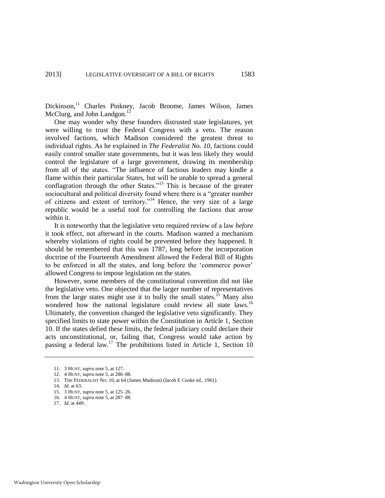Dickinson,<sup>11</sup> Charles Pinkney, Jacob Broome, James Wilson, James McClurg, and John Landgon.<sup>1</sup>

One may wonder why these founders distrusted state legislatures, yet were willing to trust the Federal Congress with a veto. The reason involved factions, which Madison considered the greatest threat to individual rights. As he explained in *The Federalist No. 10*, factions could easily control smaller state governments, but it was less likely they would control the legislature of a large government, drawing its membership from all of the states. "The influence of factious leaders may kindle a flame within their particular States, but will be unable to spread a general conflagration through the other States."<sup>13</sup> This is because of the greater sociocultural and political diversity found where there is a "greater number of citizens and extent of territory."<sup>14</sup> Hence, the very size of a large republic would be a useful tool for controlling the factions that arose within it.

It is noteworthy that the legislative veto required review of a law *before* it took effect, not afterward in the courts. Madison wanted a mechanism whereby violations of rights could be prevented before they happened. It should be remembered that this was 1787, long before the incorporation doctrine of the Fourteenth Amendment allowed the Federal Bill of Rights to be enforced in all the states, and long before the 'commerce power' allowed Congress to impose legislation on the states.

However, some members of the constitutional convention did not like the legislative veto. One objected that the larger number of representatives from the large states might use it to bully the small states.<sup>15</sup> Many also wondered how the national legislature could review all state laws.<sup>16</sup> Ultimately, the convention changed the legislative veto significantly. They specified limits to state power within the Constitution in Article 1, Section 10. If the states defied these limits, the federal judiciary could declare their acts unconstitutional, or, failing that, Congress would take action by passing a federal law.<sup>17</sup> The prohibitions listed in Article 1, Section 10

<sup>11. 3</sup> HUNT, *supra* not[e 5,](#page-2-0) at 127.

<sup>12. 4</sup> HUNT, *supra* not[e 5,](#page-2-0) at 286–88.

<sup>13.</sup> THE FEDERALIST NO. 10, at 64 (James Madison) (Jacob E Cooke ed., 1961).

<sup>14.</sup> *Id*. at 63.

<sup>15. 3</sup> HUNT, *supra* not[e 5,](#page-2-0) at 125–26.

<sup>16. 4</sup> HUNT, *supra* not[e 5,](#page-2-0) at 287–88.

<sup>17.</sup> *Id*. at 449.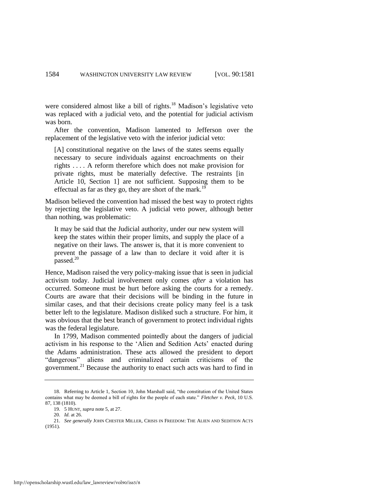were considered almost like a bill of rights.<sup>18</sup> Madison's legislative veto was replaced with a judicial veto, and the potential for judicial activism was born.

After the convention, Madison lamented to Jefferson over the replacement of the legislative veto with the inferior judicial veto:

[A] constitutional negative on the laws of the states seems equally necessary to secure individuals against encroachments on their rights . . . . A reform therefore which does not make provision for private rights, must be materially defective. The restraints [in Article 10, Section 1] are not sufficient. Supposing them to be effectual as far as they go, they are short of the mark.<sup>1</sup>

Madison believed the convention had missed the best way to protect rights by rejecting the legislative veto. A judicial veto power, although better than nothing, was problematic:

It may be said that the Judicial authority, under our new system will keep the states within their proper limits, and supply the place of a negative on their laws. The answer is, that it is more convenient to prevent the passage of a law than to declare it void after it is  $_{\rm passed.}^{20}$ 

Hence, Madison raised the very policy-making issue that is seen in judicial activism today. Judicial involvement only comes *after* a violation has occurred. Someone must be hurt before asking the courts for a remedy. Courts are aware that their decisions will be binding in the future in similar cases, and that their decisions create policy many feel is a task better left to the legislature. Madison disliked such a structure. For him, it was obvious that the best branch of government to protect individual rights was the federal legislature.

In 1799, Madison commented pointedly about the dangers of judicial activism in his response to the ‗Alien and Sedition Acts' enacted during the Adams administration. These acts allowed the president to deport "dangerous" aliens and criminalized certain criticisms of the government.<sup>21</sup> Because the authority to enact such acts was hard to find in

<sup>18.</sup> Referring to Article 1, Section 10, John Marshall said, "the constitution of the United States contains what may be deemed a bill of rights for the people of each state." *Fletcher v. Peck*, 10 U.S. 87, 138 (1810).

<sup>19. 5</sup> HUNT, *supra* not[e 5,](#page-2-0) at 27.

<sup>20.</sup> *Id.* at 26.

<sup>21.</sup> *See generally* JOHN CHESTER MILLER, CRISIS IN FREEDOM: THE ALIEN AND SEDITION ACTS (1951).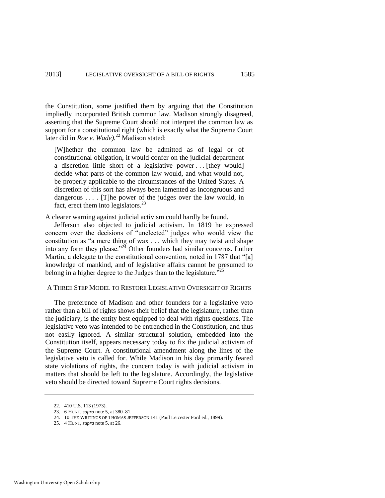the Constitution, some justified them by arguing that the Constitution impliedly incorporated British common law. Madison strongly disagreed, asserting that the Supreme Court should not interpret the common law as support for a constitutional right (which is exactly what the Supreme Court later did in *Roe v. Wade).*<sup>22</sup> Madison stated:

[W]hether the common law be admitted as of legal or of constitutional obligation, it would confer on the judicial department a discretion little short of a legislative power ... [they would] decide what parts of the common law would, and what would not, be properly applicable to the circumstances of the United States. A discretion of this sort has always been lamented as incongruous and dangerous  $\dots$  [T] he power of the judges over the law would, in fact, erect them into legislators. $^{23}$ 

A clearer warning against judicial activism could hardly be found.

Jefferson also objected to judicial activism. In 1819 he expressed concern over the decisions of "unelected" judges who would view the constitution as "a mere thing of wax . . . which they may twist and shape into any form they please.<sup> $22$ </sup> Other founders had similar concerns. Luther Martin, a delegate to the constitutional convention, noted in 1787 that "[a] knowledge of mankind, and of legislative affairs cannot be presumed to belong in a higher degree to the Judges than to the legislature.<sup>225</sup>

#### A THREE STEP MODEL TO RESTORE LEGISLATIVE OVERSIGHT OF RIGHTS

The preference of Madison and other founders for a legislative veto rather than a bill of rights shows their belief that the legislature, rather than the judiciary, is the entity best equipped to deal with rights questions. The legislative veto was intended to be entrenched in the Constitution, and thus not easily ignored. A similar structural solution, embedded into the Constitution itself, appears necessary today to fix the judicial activism of the Supreme Court. A constitutional amendment along the lines of the legislative veto is called for. While Madison in his day primarily feared state violations of rights, the concern today is with judicial activism in matters that should be left to the legislature. Accordingly, the legislative veto should be directed toward Supreme Court rights decisions.

<sup>22. 410</sup> U.S. 113 (1973).

<sup>23. 6</sup> HUNT, *supra* not[e 5,](#page-2-0) at 380–81.

<sup>24. 10</sup> THE WRITINGS OF THOMAS JEFFERSON 141 (Paul Leicester Ford ed., 1899).

<sup>25. 4</sup> HUNT, *supra* not[e 5,](#page-2-0) at 26.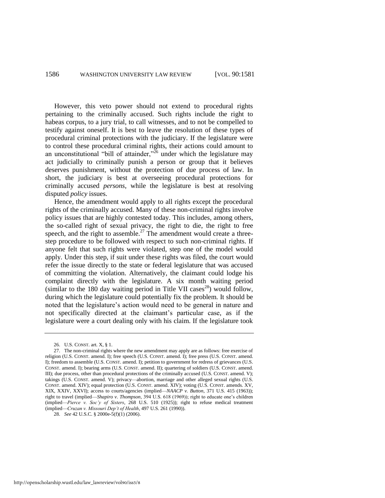However, this veto power should not extend to procedural rights pertaining to the criminally accused. Such rights include the right to habeas corpus, to a jury trial, to call witnesses, and to not be compelled to testify against oneself. It is best to leave the resolution of these types of procedural criminal protections with the judiciary. If the legislature were to control these procedural criminal rights, their actions could amount to an unconstitutional "bill of attainder," $^{26}$  under which the legislature may act judicially to criminally punish a person or group that it believes deserves punishment, without the protection of due process of law. In short, the judiciary is best at overseeing procedural protections for criminally accused *persons*, while the legislature is best at resolving disputed *policy* issues.

Hence, the amendment would apply to all rights except the procedural rights of the criminally accused. Many of these non-criminal rights involve policy issues that are highly contested today. This includes, among others, the so-called right of sexual privacy, the right to die, the right to free speech, and the right to assemble.<sup>27</sup> The amendment would create a threestep procedure to be followed with respect to such non-criminal rights. If anyone felt that such rights were violated, step one of the model would apply. Under this step, if suit under these rights was filed, the court would refer the issue directly to the state or federal legislature that was accused of committing the violation. Alternatively, the claimant could lodge his complaint directly with the legislature. A six month waiting period (similar to the 180 day waiting period in Title VII cases<sup>28</sup>) would follow, during which the legislature could potentially fix the problem. It should be noted that the legislature's action would need to be general in nature and not specifically directed at the claimant's particular case, as if the legislature were a court dealing only with his claim. If the legislature took

<sup>26.</sup> U.S. CONST. art. X, § 1.

<sup>27.</sup> The non-criminal rights where the new amendment may apply are as follows: free exercise of religion (U.S. CONST. amend. I); free speech (U.S. CONST. amend. I); free press (U.S. CONST. amend. I); freedom to assemble (U.S. CONST. amend. I); petition to government for redress of grievances (U.S. CONST. amend. I); bearing arms (U.S. CONST. amend. II); quartering of soldiers (U.S. CONST. amend. III); due process, other than procedural protections of the criminally accused (U.S. CONST. amend. V); takings (U.S. CONST. amend. V); privacy—abortion, marriage and other alleged sexual rights (U.S. CONST. amend. XIV); equal protection (U.S. CONST. amend. XIV); voting (U.S. CONST. amends. XV, XIX, XXIV, XXVI); access to courts/agencies (implied—*NAACP v. Button*, 371 U.S. 415 (1963)); right to travel (implied—*Shapiro v. Thompson*, 394 U.S. 618 (1969)); right to educate one's children (implied—*Pierce v. Soc'y of Sisters*, 268 U.S. 510 (1925)); right to refuse medical treatment (implied—*Cruzan v. Missouri Dep't of Health*, 497 U.S. 261 (1990)).

<sup>28.</sup> *See* 42 U.S.C. § 2000e-5(f)(1) (2006).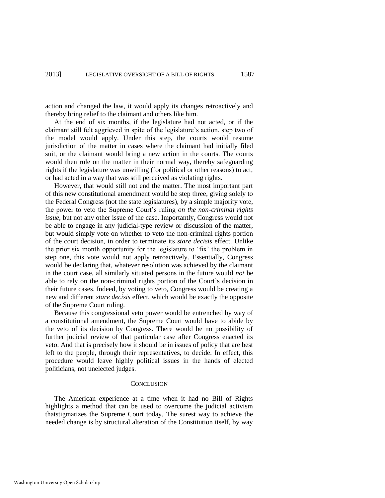action and changed the law, it would apply its changes retroactively and thereby bring relief to the claimant and others like him.

At the end of six months, if the legislature had not acted, or if the claimant still felt aggrieved in spite of the legislature's action, step two of the model would apply. Under this step, the courts would resume jurisdiction of the matter in cases where the claimant had initially filed suit, or the claimant would bring a new action in the courts. The courts would then rule on the matter in their normal way, thereby safeguarding rights if the legislature was unwilling (for political or other reasons) to act, or had acted in a way that was still perceived as violating rights.

However, that would still not end the matter. The most important part of this new constitutional amendment would be step three, giving solely to the Federal Congress (not the state legislatures), by a simple majority vote, the power to veto the Supreme Court's ruling *on the non-criminal rights issue*, but not any other issue of the case. Importantly, Congress would not be able to engage in any judicial-type review or discussion of the matter, but would simply vote on whether to veto the non-criminal rights portion of the court decision, in order to terminate its *stare decisis* effect. Unlike the prior six month opportunity for the legislature to 'fix' the problem in step one, this vote would not apply retroactively. Essentially, Congress would be declaring that, whatever resolution was achieved by the claimant in the court case, all similarly situated persons in the future would *not* be able to rely on the non-criminal rights portion of the Court's decision in their future cases. Indeed, by voting to veto, Congress would be creating a new and different *stare decisis* effect, which would be exactly the opposite of the Supreme Court ruling.

Because this congressional veto power would be entrenched by way of a constitutional amendment, the Supreme Court would have to abide by the veto of its decision by Congress. There would be no possibility of further judicial review of that particular case after Congress enacted its veto. And that is precisely how it should be in issues of policy that are best left to the people, through their representatives, to decide. In effect, this procedure would leave highly political issues in the hands of elected politicians, not unelected judges.

#### **CONCLUSION**

The American experience at a time when it had no Bill of Rights highlights a method that can be used to overcome the judicial activism thatstigmatizes the Supreme Court today. The surest way to achieve the needed change is by structural alteration of the Constitution itself, by way